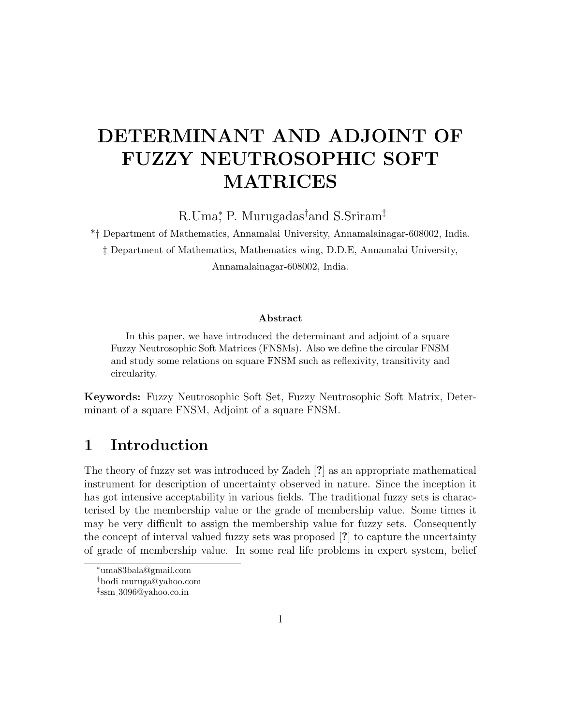# DETERMINANT AND ADJOINT OF FUZZY NEUTROSOPHIC SOFT MATRICES

R.Uma<sup>\*</sup>, P. Murugadas<sup>†</sup>and S.Sriram<sup>‡</sup>

\*† Department of Mathematics, Annamalai University, Annamalainagar-608002, India. ‡ Department of Mathematics, Mathematics wing, D.D.E, Annamalai University, Annamalainagar-608002, India.

#### Abstract

In this paper, we have introduced the determinant and adjoint of a square Fuzzy Neutrosophic Soft Matrices (FNSMs). Also we define the circular FNSM and study some relations on square FNSM such as reflexivity, transitivity and circularity.

Keywords: Fuzzy Neutrosophic Soft Set, Fuzzy Neutrosophic Soft Matrix, Determinant of a square FNSM, Adjoint of a square FNSM.

## 1 Introduction

The theory of fuzzy set was introduced by Zadeh [?] as an appropriate mathematical instrument for description of uncertainty observed in nature. Since the inception it has got intensive acceptability in various fields. The traditional fuzzy sets is characterised by the membership value or the grade of membership value. Some times it may be very difficult to assign the membership value for fuzzy sets. Consequently the concept of interval valued fuzzy sets was proposed [?] to capture the uncertainty of grade of membership value. In some real life problems in expert system, belief

<sup>∗</sup>uma83bala@gmail.com

<sup>†</sup>bodi muruga@yahoo.com

<sup>‡</sup> ssm 3096@yahoo.co.in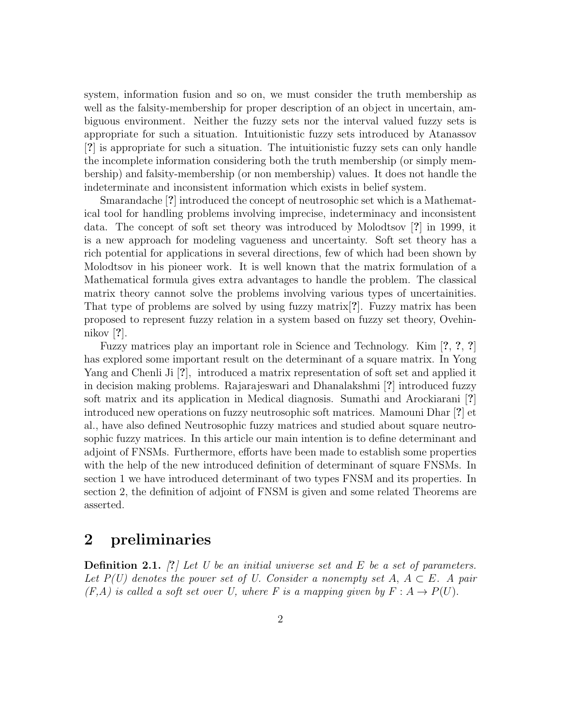system, information fusion and so on, we must consider the truth membership as well as the falsity-membership for proper description of an object in uncertain, ambiguous environment. Neither the fuzzy sets nor the interval valued fuzzy sets is appropriate for such a situation. Intuitionistic fuzzy sets introduced by Atanassov [?] is appropriate for such a situation. The intuitionistic fuzzy sets can only handle the incomplete information considering both the truth membership (or simply membership) and falsity-membership (or non membership) values. It does not handle the indeterminate and inconsistent information which exists in belief system.

Smarandache [?] introduced the concept of neutrosophic set which is a Mathematical tool for handling problems involving imprecise, indeterminacy and inconsistent data. The concept of soft set theory was introduced by Molodtsov [?] in 1999, it is a new approach for modeling vagueness and uncertainty. Soft set theory has a rich potential for applications in several directions, few of which had been shown by Molodtsov in his pioneer work. It is well known that the matrix formulation of a Mathematical formula gives extra advantages to handle the problem. The classical matrix theory cannot solve the problems involving various types of uncertainities. That type of problems are solved by using fuzzy matrix[?]. Fuzzy matrix has been proposed to represent fuzzy relation in a system based on fuzzy set theory, Ovehinnikov [?].

Fuzzy matrices play an important role in Science and Technology. Kim [?, ?, ?] has explored some important result on the determinant of a square matrix. In Yong Yang and Chenli Ji [?], introduced a matrix representation of soft set and applied it in decision making problems. Rajarajeswari and Dhanalakshmi [?] introduced fuzzy soft matrix and its application in Medical diagnosis. Sumathi and Arockiarani [?] introduced new operations on fuzzy neutrosophic soft matrices. Mamouni Dhar [?] et al., have also defined Neutrosophic fuzzy matrices and studied about square neutrosophic fuzzy matrices. In this article our main intention is to define determinant and adjoint of FNSMs. Furthermore, efforts have been made to establish some properties with the help of the new introduced definition of determinant of square FNSMs. In section 1 we have introduced determinant of two types FNSM and its properties. In section 2, the definition of adjoint of FNSM is given and some related Theorems are asserted.

#### 2 preliminaries

**Definition 2.1.** [?] Let U be an initial universe set and E be a set of parameters. Let  $P(U)$  denotes the power set of U. Consider a nonempty set  $A, A \subset E$ . A pair  $(F, A)$  is called a soft set over U, where F is a mapping given by  $F: A \rightarrow P(U)$ .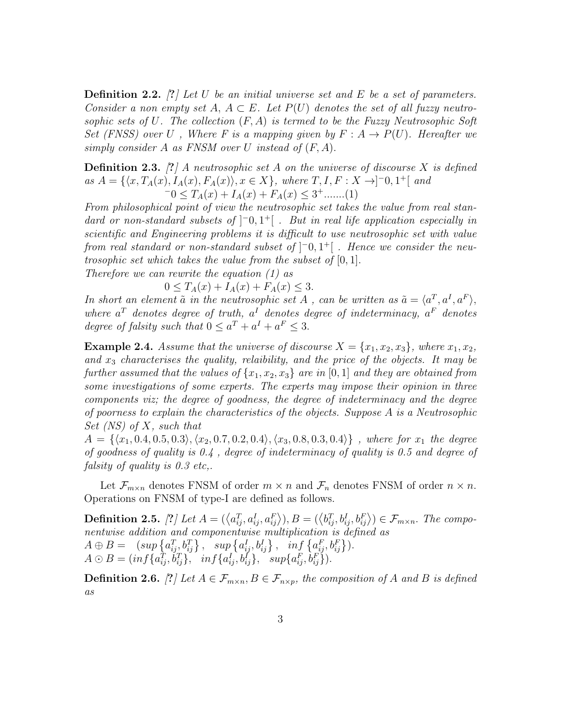**Definition 2.2.** [?] Let U be an initial universe set and E be a set of parameters. Consider a non empty set A,  $A \subseteq E$ . Let  $P(U)$  denotes the set of all fuzzy neutrosophic sets of U. The collection  $(F, A)$  is termed to be the Fuzzy Neutrosophic Soft Set (FNSS) over U, Where F is a mapping given by  $F: A \rightarrow P(U)$ . Hereafter we simply consider A as FNSM over U instead of  $(F, A)$ .

**Definition 2.3.** [?] A neutrosophic set A on the universe of discourse X is defined as  $A = \{ \langle x, T_A(x), I_A(x), F_A(x) \rangle, x \in X \}$ , where  $T, I, F: X \rightarrow ]-0, 1^+[$  and  $-0 \leq T_A(x) + I_A(x) + F_A(x) \leq 3^+ \dots (1)$ 

From philosophical point of view the neutrosophic set takes the value from real standard or non-standard subsets of  $\vert \bar{=}0,1^+ \vert$ . But in real life application especially in scientific and Engineering problems it is difficult to use neutrosophic set with value from real standard or non-standard subset of  $\vert \bar{=}0,1^+ \vert$  . Hence we consider the neutrosophic set which takes the value from the subset of [0, 1]. Therefore we can rewrite the equation (1) as

 $0 \leq T_A(x) + I_A(x) + F_A(x) \leq 3.$ 

In short an element  $\tilde{a}$  in the neutrosophic set A, can be written as  $\tilde{a} = \langle a^T, a^I, a^F \rangle$ , where  $a^T$  denotes degree of truth,  $a^I$  denotes degree of indeterminacy,  $a^F$  denotes degree of falsity such that  $0 \le a^T + a^I + a^F \le 3$ .

**Example 2.4.** Assume that the universe of discourse  $X = \{x_1, x_2, x_3\}$ , where  $x_1, x_2$ , and  $x_3$  characterises the quality, relaibility, and the price of the objects. It may be further assumed that the values of  $\{x_1, x_2, x_3\}$  are in [0, 1] and they are obtained from some investigations of some experts. The experts may impose their opinion in three components viz; the degree of goodness, the degree of indeterminacy and the degree of poorness to explain the characteristics of the objects. Suppose  $A$  is a Neutrosophic Set  $(NS)$  of X, such that

 $A = \{\langle x_1, 0.4, 0.5, 0.3 \rangle, \langle x_2, 0.7, 0.2, 0.4 \rangle, \langle x_3, 0.8, 0.3, 0.4 \rangle\}$ , where for  $x_1$  the degree of goodness of quality is 0.4 , degree of indeterminacy of quality is 0.5 and degree of falsity of quality is 0.3 etc..

Let  $\mathcal{F}_{m\times n}$  denotes FNSM of order  $m \times n$  and  $\mathcal{F}_n$  denotes FNSM of order  $n \times n$ . Operations on FNSM of type-I are defined as follows.

**Definition 2.5.** [?] Let  $A = (\langle a_{ij}^T, a_{ij}^I, a_{ij}^F \rangle), B = (\langle b_{ij}^T, b_{ij}^I, b_{ij}^F \rangle) \in \mathcal{F}_{m \times n}$ . The componentwise addition and componentwise multiplication is defined as  $A \oplus B = ( \sup \{a_{ij}^T, b_{ij}^T\}, \sup \{a_{ij}^I, b_{ij}^I\}, \inf \{a_{ij}^F, b_{ij}^F\}).$  $A \odot B = (inf\{a_{ij}^T, \dot{b}_{ij}^T\}, \quad inf\{a_{ij}^I, b_{ij}^I\}, \quad supp\{a_{ij}^F, \dot{b}_{ij}^F\}).$ 

**Definition 2.6.** [?] Let  $A \in \mathcal{F}_{m \times n}$ ,  $B \in \mathcal{F}_{n \times p}$ , the composition of A and B is defined as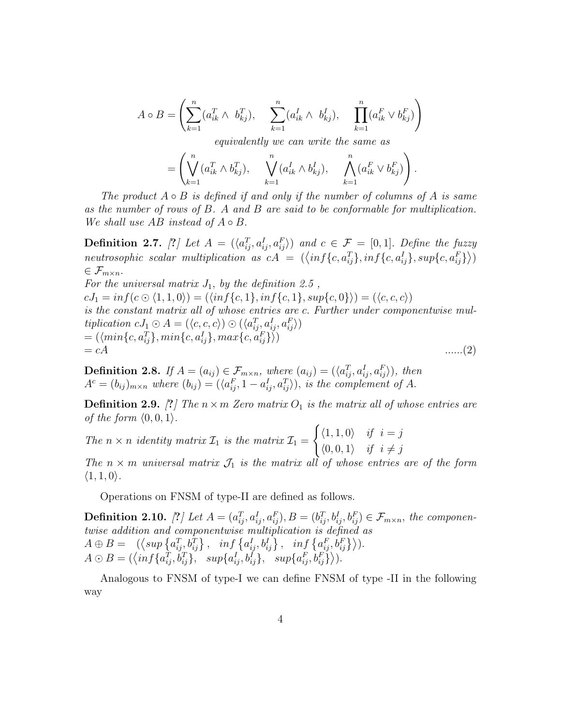$$
A \circ B = \left( \sum_{k=1}^{n} (a_{ik}^{T} \wedge b_{kj}^{T}), \sum_{k=1}^{n} (a_{ik}^{T} \wedge b_{kj}^{T}), \sum_{k=1}^{n} (a_{ik}^{F} \vee b_{kj}^{F}) \right)
$$

equivalently we can write the same as

$$
= \left(\bigvee_{k=1}^n (a_{ik}^T \wedge b_{kj}^T), \quad \bigvee_{k=1}^n (a_{ik}^I \wedge b_{kj}^I), \quad \bigwedge_{k=1}^n (a_{ik}^F \vee b_{kj}^F)\right).
$$

The product  $A \circ B$  is defined if and only if the number of columns of A is same as the number of rows of  $B$ . A and  $B$  are said to be conformable for multiplication. We shall use  $AB$  instead of  $A \circ B$ .

**Definition 2.7.** [?] Let  $A = (\langle a_{ij}^T, a_{ij}^L, a_{ij}^F \rangle)$  and  $c \in \mathcal{F} = [0, 1]$ . Define the fuzzy neutrosophic scalar multiplication as  $cA = (\langle inf\{c, a_{ij}^T\}, inf\{c, a_{ij}^I\}, sup\{c, a_{ij}^F\}\rangle)$  $\in \mathcal{F}_{m \times n}$ .

For the universal matrix  $J_1$ , by the definition 2.5,  $cJ_1 = inf(c \odot (1, 1, 0)) = (\langle inf\{c, 1\}, inf\{c, 1\}, supp\{c, 0\}) \rangle = (\langle c, c, c \rangle)$ is the constant matrix all of whose entries are c. Further under componentwise multiplication  $cJ_1 \odot A = (\langle c, c, c \rangle) \odot (\langle a_{ij}^T, a_{ij}^T, a_{ij}^F \rangle)$  $= (\langle min\{c, a_{ij}^T\}, min\{c, a_{ij}^I\}, max\{c, a_{ij}^F\} \rangle )$  $= cA$  .......(2)

**Definition 2.8.** If  $A = (a_{ij}) \in \mathcal{F}_{m \times n}$ , where  $(a_{ij}) = (\langle a_{ij}^T, a_{ij}^T, a_{ij}^F \rangle)$ , then  $A^c = (b_{ij})_{m \times n}$  where  $(b_{ij}) = (\langle a_{ij}^F, 1 - a_{ij}^I, a_{ij}^T \rangle)$ , is the complement of A.

**Definition 2.9.** [?] The  $n \times m$  Zero matrix  $O_1$  is the matrix all of whose entries are of the form  $\langle 0, 0, 1 \rangle$ .

The  $n \times n$  identity matrix  $\mathcal{I}_1$  is the matrix  $\mathcal{I}_1$  =  $\int \langle 1, 1, 0 \rangle \quad \text{if} \quad i = j$  $\langle 0, 0, 1 \rangle$  if  $i \neq j$ 

The  $n \times m$  universal matrix  $\mathcal{J}_1$  is the matrix all of whose entries are of the form  $\langle 1, 1, 0 \rangle$ .

Operations on FNSM of type-II are defined as follows.

**Definition 2.10.** [?] Let  $A = (a_{ij}^T, a_{ij}^I, a_{ij}^F), B = (b_{ij}^T, b_{ij}^I, b_{ij}^F) \in \mathcal{F}_{m \times n}$ , the componentwise addition and componentwise multiplication is defined as  $A \oplus B = \left( \left\langle \sup \{a_{ij}^T, b_{ij}^T\} \right\rangle, \quad \inf \left\{a_{ij}^I, b_{ij}^I\right\}, \quad \inf \left\{a_{ij}^F, b_{ij}^F\right\} \right\rangle.$  $A \odot B = (\langle \inf \{a_{ij}^T, b_{ij}^T\}, \sup \{a_{ij}^T, b_{ij}^T\}, \sup \{a_{ij}^T, b_{ij}^T\} \rangle).$ 

Analogous to FNSM of type-I we can define FNSM of type -II in the following way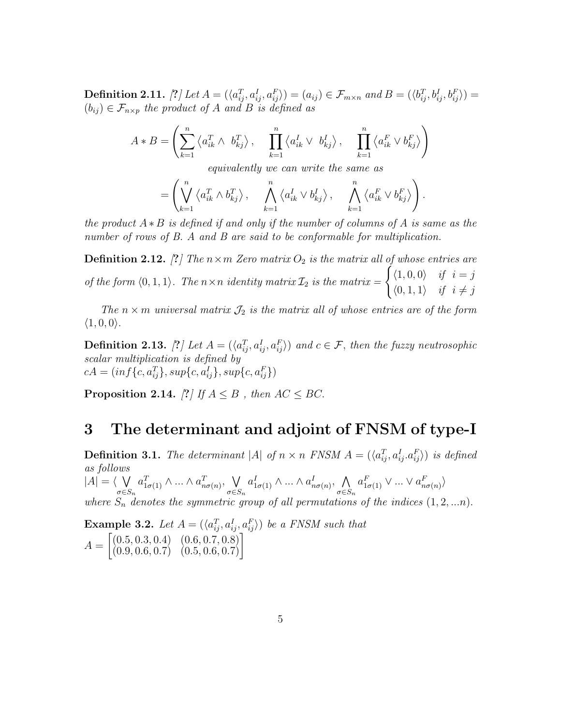$\textbf{Definition 2.11.} \; [?) \; Let \: A = (\langle a_{ij}^T, a_{ij}^I, a_{ij}^F \rangle) = (a_{ij}) \in \mathcal{F}_{m \times n} \; and \: B = (\langle b_{ij}^T, b_{ij}^I, b_{ij}^F \rangle) =$  $(b_{ij}) \in \mathcal{F}_{n \times p}$  the product of A and B is defined as

$$
A*B=\left(\sum_{k=1}^n\left\langle a_{ik}^T\wedge\ b_{kj}^T\right\rangle,\quad \ \prod_{k=1}^n\left\langle a_{ik}^I\vee\ b_{kj}^I\right\rangle,\quad \ \prod_{k=1}^n\left\langle a_{ik}^F\vee b_{kj}^F\right\rangle\right)
$$

equivalently we can write the same as

$$
= \left( \bigvee_{k=1}^{n} \left\langle a_{ik}^{T} \wedge b_{kj}^{T} \right\rangle, \quad \bigwedge_{k=1}^{n} \left\langle a_{ik}^{I} \vee b_{kj}^{I} \right\rangle, \quad \bigwedge_{k=1}^{n} \left\langle a_{ik}^{F} \vee b_{kj}^{F} \right\rangle \right).
$$

the product  $A * B$  is defined if and only if the number of columns of A is same as the number of rows of B. A and B are said to be conformable for multiplication.

**Definition 2.12.** [?] The  $n \times m$  Zero matrix  $O_2$  is the matrix all of whose entries are of the form  $\langle 0, 1, 1 \rangle$ . The  $n \times n$  identity matrix  $\mathcal{I}_2$  is the matrix  $= \begin{cases} \langle 1, 0, 0 \rangle & \text{if } i = j \end{cases}$  $\langle 0, 1, 1 \rangle$  if  $i \neq j$ 

The  $n \times m$  universal matrix  $\mathcal{J}_2$  is the matrix all of whose entries are of the form  $\langle 1, 0, 0 \rangle$ .

**Definition 2.13.** [?] Let  $A = (\langle a_{ij}^T, a_{ij}^I, a_{ij}^F \rangle)$  and  $c \in \mathcal{F}$ , then the fuzzy neutrosophic scalar multiplication is defined by  $cA = (inf{c, a_{ij}^T}, sup{c, a_{ij}^I}, supp{c, a_{ij}^F})$ 

Proposition 2.14. [?] If  $A \leq B$ , then  $AC \leq BC$ .

#### 3 The determinant and adjoint of FNSM of type-I

**Definition 3.1.** The determinant |A| of  $n \times n$  FNSM  $A = (\langle a_{ij}^T, a_{ij}^I, a_{ij}^F \rangle)$  is defined as follows  $|A| = \langle \ \}$  $\sigma{\in}S_n$  $a_{1\sigma(1)}^T \wedge ... \wedge a_{n\sigma(n)}^T$ ,  $\vee$  $\sigma{\in}S_n$  $a_{1\sigma(1)}^I \wedge ... \wedge a_{n\sigma(n)}^I$ ,  $\wedge$  $\sigma{\in}S_n$  $a_{1\sigma(1)}^F \vee \ldots \vee a_{n\sigma(n)}^F$ where  $S_n$  denotes the symmetric group of all permutations of the indices  $(1, 2, ...n)$ .

**Example 3.2.** Let  $A = (\langle a_{ij}^T, a_{ij}^I, a_{ij}^F \rangle)$  be a FNSM such that  $A =$  $\begin{bmatrix} (0.5, 0.3, 0.4) & (0.6, 0.7, 0.8) \\ (0.9, 0.6, 0.7) & (0.5, 0.6, 0.7) \end{bmatrix}$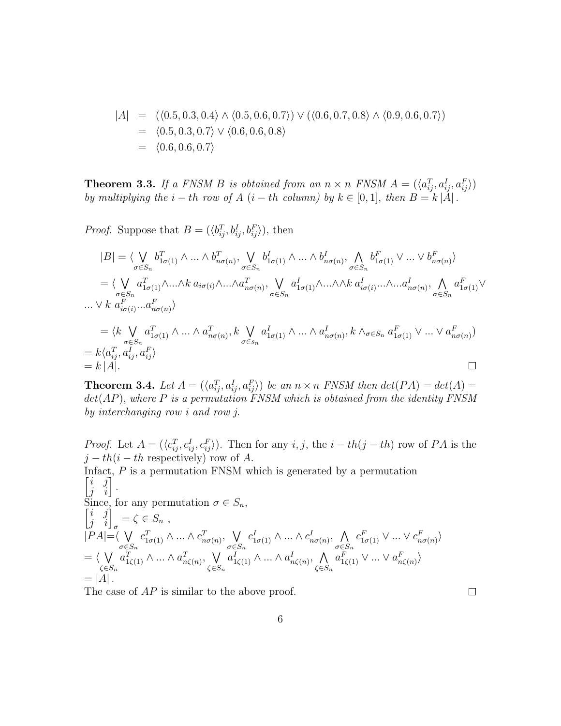$$
|A| = (\langle 0.5, 0.3, 0.4 \rangle \land \langle 0.5, 0.6, 0.7 \rangle) \lor (\langle 0.6, 0.7, 0.8 \rangle \land \langle 0.9, 0.6, 0.7 \rangle)
$$
  
=  $\langle 0.5, 0.3, 0.7 \rangle \lor \langle 0.6, 0.6, 0.8 \rangle$   
=  $\langle 0.6, 0.6, 0.7 \rangle$ 

**Theorem 3.3.** If a FNSM B is obtained from an  $n \times n$  FNSM  $A = (\langle a_{ij}^T, a_{ij}^I, a_{ij}^F \rangle)$ by multiplying the  $i - th$  row of  $A$   $(i - th$  column) by  $k \in [0, 1]$ , then  $B = k |A|$ .

*Proof.* Suppose that  $B = (\langle b_{ij}^T, b_{ij}^I, b_{ij}^F \rangle)$ , then

$$
|B| = \langle \bigvee_{\sigma \in S_n} b_{1\sigma(1)}^T \wedge \ldots \wedge b_{n\sigma(n)}^T, \bigvee_{\sigma \in S_n} b_{1\sigma(1)}^I \wedge \ldots \wedge b_{n\sigma(n)}^I, \bigwedge_{\sigma \in S_n} b_{1\sigma(1)}^F \vee \ldots \vee b_{n\sigma(n)}^F \rangle
$$
  
\n
$$
= \langle \bigvee_{\sigma \in S_n} a_{1\sigma(1)}^T \wedge \ldots \wedge k \ a_{i\sigma(i)} \wedge \ldots \wedge a_{n\sigma(n)}^T, \bigvee_{\sigma \in S_n} a_{1\sigma(1)}^I \wedge \ldots \wedge \wedge k \ a_{i\sigma(i)}^I \ldots \wedge \ldots a_{n\sigma(n)}^I, \bigwedge_{\sigma \in S_n} a_{1\sigma(1)}^F \vee \ldots \vee k \ a_{i\sigma(i)}^F \ldots a_{n\sigma(n)}^F \rangle
$$
  
\n
$$
= \langle k \bigvee_{\sigma \in S_n} a_{1\sigma(1)}^T \wedge \ldots \wedge a_{n\sigma(n)}^T, k \bigvee_{\sigma \in S_n} a_{1\sigma(1)}^I \wedge \ldots \wedge a_{n\sigma(n)}^I, k \wedge_{\sigma \in S_n} a_{1\sigma(1)}^F \vee \ldots \vee a_{n\sigma(n)}^F \rangle
$$
  
\n
$$
= k \langle a_{ij}^T, a_{ij}^T, a_{ij}^T, a_{ij}^F \rangle
$$
  
\n
$$
= k |A|.
$$

**Theorem 3.4.** Let  $A = (\langle a_{ij}^T, a_{ij}^I, a_{ij}^F \rangle)$  be an  $n \times n$  FNSM then  $det(PA) = det(A)$  $det(AP)$ , where P is a permutation FNSM which is obtained from the identity FNSM by interchanging row i and row j.

*Proof.* Let  $A = (\langle c_{ij}^T, c_{ij}^I, c_{ij}^F \rangle)$ . Then for any  $i, j$ , the  $i - th(j - th)$  row of PA is the  $j - th(i - th$  respectively) row of A.

Infact,  $P$  is a permutation FNSM which is generated by a permutation  $\begin{bmatrix} i & j \\ j & i \end{bmatrix}$ . Since, for any permutation  $\sigma \in S_n$ ,<br> $\begin{bmatrix} i & j \\ j & i \end{bmatrix}_{\sigma} = \zeta \in S_n$ ,  $|PA|=\langle V$  $\sigma \in S_n$  $c_{1\sigma(1)}^T \wedge ... \wedge c_{n\sigma(n)}^T$ ,  $\vee$  $\sigma \in S_n$  $c^I_{1\sigma(1)} \wedge ... \wedge c^I_{n\sigma(n)}, \wedge$  $\sigma \in S_n$  $c^F_{1\sigma(1)} \vee \ldots \vee c^F_{n\sigma(n)}$  $= \langle V \rangle$  $\zeta$ ∈ $S_n$  $a_{1\zeta(1)}^T \wedge ... \wedge a_{n\zeta(n)}^T$ ,  $\bigvee$  $\zeta$ ∈ $S_n$  $a_{1\zeta(1)}^I \wedge ... \wedge a_{n\zeta(n)}^I$ ,  $\wedge$  $\zeta{\in}S_n$  $a_{1\zeta(1)}^F \vee \ldots \vee a_{n\zeta(n)}^F$  $= |A|$ .

The case of  $AP$  is similar to the above proof.

 $\Box$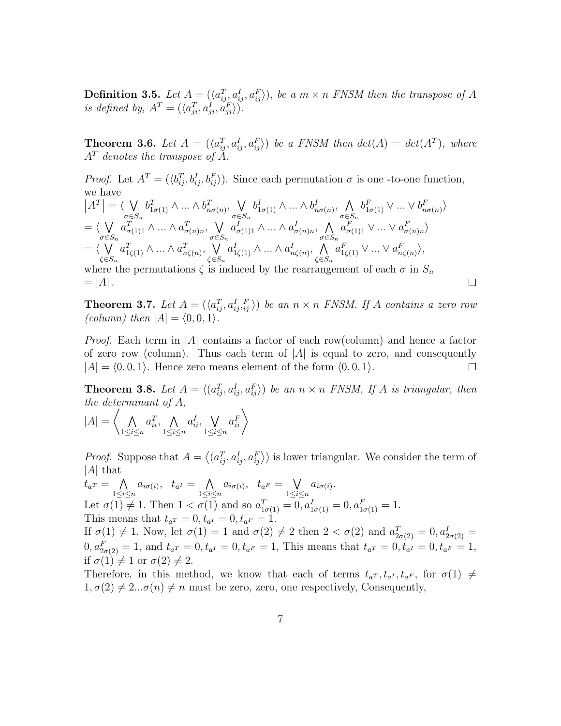**Definition 3.5.** Let  $A = (\langle a_{ij}^T, a_{ij}^I, a_{ij}^F \rangle)$ , be a  $m \times n$  FNSM then the transpose of A is defined by,  $A^T = (\langle a_{ji}^T, a_{ji}^I, a_{ji}^F \rangle)$ .

**Theorem 3.6.** Let  $A = (\langle a_{ij}^T, a_{ij}^I, a_{ij}^F \rangle)$  be a FNSM then  $det(A) = det(A^T)$ , where  $A<sup>T</sup>$  denotes the transpose of  $A$ .

*Proof.* Let  $A^T = (\langle b_{ij}^T, b_{ij}^I, b_{ij}^F \rangle)$ . Since each permutation  $\sigma$  is one -to-one function, we have  $|A^T| = \langle \bigvee_{\sigma \in S}$  $\sigma{\in}S_n$  $b_{1\sigma(1)}^T \wedge ... \wedge b_{n\sigma(n)}^T$ ,  $\vee$  $\sigma{\in}S_n$  $b^I_{1\sigma(1)} \wedge ... \wedge b^I_{n\sigma(n)}, \wedge$  $\sigma{\in}S_n$  $b_{1\sigma(1)}^F \vee \ldots \vee b_{n\sigma(n)}^F$  $= \langle V \rangle$  $\sigma{\in}S_n$  $a_{\sigma(1)1}^T \wedge ... \wedge a_{\sigma(n)n}^T$ ,  $\vee$  $\sigma{\in}S_n$  $a_{\sigma(1)1}^I \wedge ... \wedge a_{\sigma(n)n}^I$ ,  $\wedge$  $\sigma{\in}S_n$  $a_{\sigma(1)1}^F \vee \ldots \vee a_{\sigma(n)n}^F$  $= \langle V \rangle$  $\zeta$ ∈ $S_n$  $a_{1\zeta(1)}^T \wedge ... \wedge a_{n\zeta(n)}^T$ ,  $\bigvee$  $\zeta$ ∈ $S_n$  $a_{1\zeta(1)}^I \wedge ... \wedge a_{n\zeta(n)}^I$ ,  $\wedge$  $\zeta{\in}S_n$  $a_{1\zeta(1)}^F \vee \ldots \vee a_{n\zeta(n)}^F$ 

where the permutations  $\zeta$  is induced by the rearrangement of each  $\sigma$  in  $S_n$  $= |A|$ .

**Theorem 3.7.** Let  $A = (\langle a_{ij}^T, a_{ij}^T, i_j^T \rangle)$  be an  $n \times n$  FNSM. If A contains a zero row (column) then  $|A| = \langle 0, 0, 1 \rangle$ .

 $\Box$ 

*Proof.* Each term in |A| contains a factor of each row(column) and hence a factor of zero row (column). Thus each term of  $|A|$  is equal to zero, and consequently  $|A| = \langle 0, 0, 1 \rangle$ . Hence zero means element of the form  $\langle 0, 0, 1 \rangle$ .  $\Box$ 

**Theorem 3.8.** Let  $A = \langle (a_{ij}^T, a_{ij}^I, a_{ij}^F) \rangle$  be an  $n \times n$  FNSM, If A is triangular, then the determinant of  $A$ ,

$$
|A| = \left\langle \bigwedge_{1 \le i \le n} a_{ii}^T, \bigwedge_{1 \le i \le n} a_{ii}^I, \bigvee_{1 \le i \le n} a_{ii}^F \right\rangle
$$

*Proof.* Suppose that  $A = \langle (a_{ij}^T, a_{ij}^I, a_{ij}^F) \rangle$  is lower triangular. We consider the term of | $\mathcal{A}$ | that

 $t_{a^T} = \sqrt{ }$  $1 \leq i \leq n$  $a_{i\sigma(i)}, \quad t_{a^I} = \sqrt{\sqrt{\frac{a_i^I}{a_i^I}}}$  $1 \leq i \leq n$  $a_{i\sigma(i)}, \quad t_{a^F} = \sqrt{\frac{1}{n}}$  $1 \leq i \leq n$  $a_{i\sigma(i)}$ . Let  $\sigma(1) \neq 1$ . Then  $1 < \sigma(1)$  and so  $a_{1\sigma(1)}^T = 0, a_{1\sigma(1)}^T = 0, a_{1\sigma(1)}^F = 1$ . This means that  $t_{a}r = 0, t_{a}r = 0, t_{a}r = 1$ .

If  $\sigma(1) \neq 1$ . Now, let  $\sigma(1) = 1$  and  $\sigma(2) \neq 2$  then  $2 < \sigma(2)$  and  $a_{2\sigma(2)}^T = 0, a_{2\sigma(2)}^T = 1$  $0, a_{2\sigma(2)}^F = 1$ , and  $t_{a^T} = 0, t_{a^T} = 0, t_{a^F} = 1$ , This means that  $t_{a^T} = 0, t_{a^T} = 0, t_{a^F} = 1$ , if  $\sigma(1) \neq 1$  or  $\sigma(2) \neq 2$ .

Therefore, in this method, we know that each of terms  $t_{a^T}, t_{a^I}, t_{a^F}$ , for  $\sigma(1) \neq$  $1, \sigma(2) \neq 2...\sigma(n) \neq n$  must be zero, zero, one respectively, Consequently,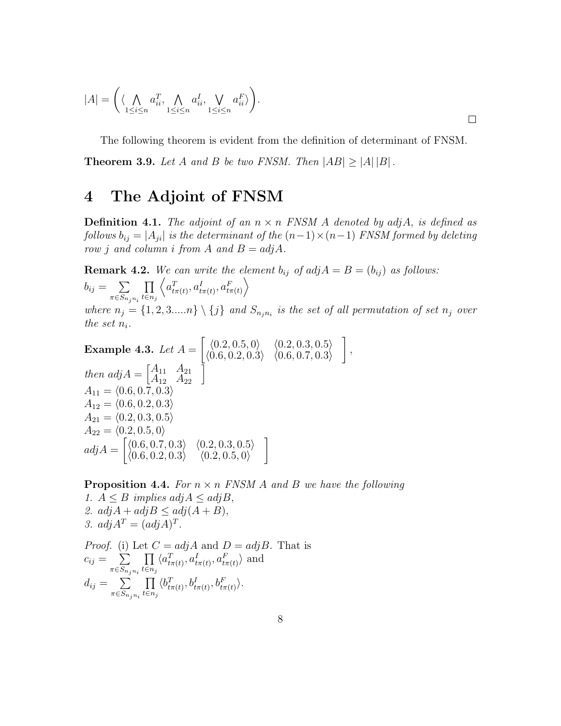$$
|A| = \left( \langle \bigwedge_{1 \leq i \leq n} a_{ii}^T, \bigwedge_{1 \leq i \leq n} a_{ii}^I, \bigvee_{1 \leq i \leq n} a_{ii}^F \rangle \right).
$$

The following theorem is evident from the definition of determinant of FNSM.

**Theorem 3.9.** Let A and B be two FNSM. Then  $|AB| > |A||B|$ .

### 4 The Adjoint of FNSM

**Definition 4.1.** The adjoint of an  $n \times n$  FNSM A denoted by adjA, is defined as follows  $b_{ij} = |A_{ji}|$  is the determinant of the  $(n-1) \times (n-1)$  FNSM formed by deleting row *j* and column *i* from *A* and  $B = adjA$ .

**Remark 4.2.** We can write the element  $b_{ij}$  of  $adj A = B = (b_{ij})$  as follows:  $b_{ij} = \sum$  $\pi \in S_{n_j n_i}$ ∏  $t \in n_j$  $\left\langle a_{t\pi(t)}^{T},a_{t\pi(t)}^{I},a_{t\pi(t)}^{F}\right\rangle$ where  $n_j = \{1, 2, 3,...n\} \setminus \{j\}$  and  $S_{n_j n_i}$  is the set of all permutation of set  $n_j$  over the set  $n_i$ .

**Example 4.3.** Let 
$$
A = \begin{bmatrix} \langle 0.2, 0.5, 0 \rangle & \langle 0.2, 0.3, 0.5 \rangle \\ \langle 0.6, 0.2, 0.3 \rangle & \langle 0.6, 0.7, 0.3 \rangle \end{bmatrix}
$$
,  
then  $adj A = \begin{bmatrix} A_{11} & A_{21} \\ A_{12} & A_{22} \end{bmatrix}$   
 $A_{11} = \langle 0.6, 0.7, 0.3 \rangle$   
 $A_{12} = \langle 0.6, 0.2, 0.3 \rangle$   
 $A_{21} = \langle 0.2, 0.3, 0.5 \rangle$   
 $A_{22} = \langle 0.2, 0.5, 0 \rangle$   
 $adj A = \begin{bmatrix} \langle 0.6, 0.7, 0.3 \rangle & \langle 0.2, 0.3, 0.5 \rangle \\ \langle 0.6, 0.2, 0.3 \rangle & \langle 0.2, 0.5, 0 \rangle \end{bmatrix}$ 

**Proposition 4.4.** For  $n \times n$  FNSM A and B we have the following 1.  $A \leq B$  implies  $adj A \leq adj B$ , 2.  $adjA + adjB \leq adj(A + B)$ , 3.  $adjA^T = (adjA)^T$ . *Proof.* (i) Let  $C = adj A$  and  $D = adj B$ . That is  $c_{ij} = \sum$  $\pi$ ∈ $S_{n_j n_i}$ ∏  $t \in n_j$  $\langle a_{t\pi(t)}^T, a_{t\pi(t)}^I, a_{t\pi(t)}^F \rangle$  and  $d_{ij} = \sum$  $\pi \in S_{n_j n_i}$ ∏  $t \in n_j$  $\langle b_{t\pi(t)}^T, b_{t\pi(t)}^I, b_{t\pi(t)}^F \rangle$ .

 $\Box$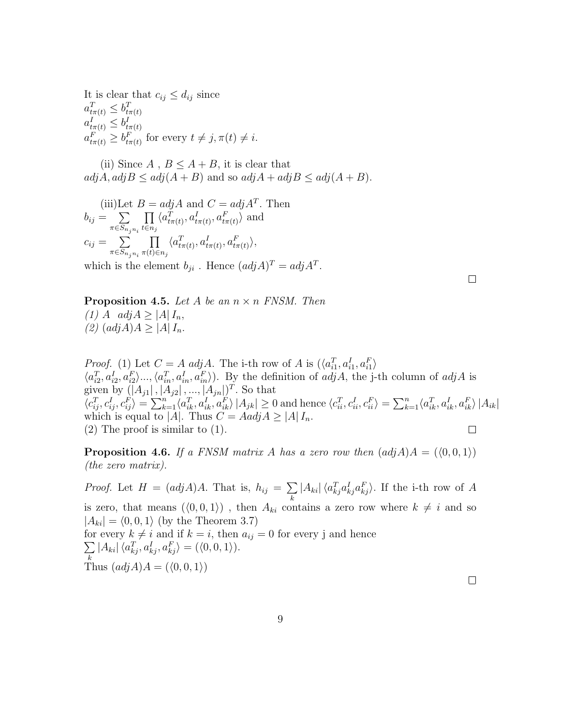It is clear that  $c_{ij} \leq d_{ij}$  since  $a_{t\pi(t)}^T \leq b_{t\pi(t)}^T$  $a_{t\pi(t)}^I \leq b_{t\pi(t)}^I$  $a_{t\pi(t)}^F \ge b_{t\pi(t)}^F$  for every  $t \neq j, \pi(t) \neq i$ .

(ii) Since  $A$ ,  $B \leq A + B$ , it is clear that  $adj A$ ,  $adj B \leq adj(A + B)$  and so  $adj A + adj B \leq adj(A + B)$ .

(iii)Let 
$$
B = adj A
$$
 and  $C = adj A^T$ . Then  
\n
$$
b_{ij} = \sum_{\pi \in S_{n_j n_i}} \prod_{t \in n_j} \langle a_{t\pi(t)}^T, a_{t\pi(t)}^I, a_{t\pi(t)}^F \rangle
$$
 and  
\n
$$
c_{ij} = \sum_{\pi \in S_{n_j n_i}} \prod_{\pi(t) \in n_j} \langle a_{t\pi(t)}^T, a_{t\pi(t)}^I, a_{t\pi(t)}^F \rangle,
$$
\nwhich is the element  $b_{ji}$ . Hence  $(adj A)^T = adj A^T$ .

**Proposition 4.5.** Let A be an  $n \times n$  FNSM. Then (1) A  $adjA \geq |A| I_n$ ,  $(2)$   $(adjA)A \geq |A|I_n$ .

*Proof.* (1) Let  $C = A \ adj A$ . The i-th row of A is  $(\langle a_{i1}^T, a_{i1}^I, a_{i1}^F \rangle)$  $\langle a_{i2}^T, a_{i2}^I, a_{i2}^F \rangle \dots, \langle a_{in}^T, a_{in}^I, a_{in}^F \rangle$ ). By the definition of  $adjA$ , the j-th column of  $adjA$  is given by  $(|A_{j1}|, |A_{j2}|, ..., |A_{jn}|)^T$ . So that  $\langle c_{ij}^T, c_{ij}^I, c_{ij}^F \rangle = \sum_{k=1}^n \langle a_{ik}^T, a_{ik}^I, a_{ik}^F \rangle |A_{jk}| \geq 0$  and hence  $\langle c_{ii}^T, c_{ii}^I, c_{ii}^F \rangle = \sum_{k=1}^n \langle a_{ik}^T, a_{ik}^I, a_{ik}^F \rangle |A_{ik}|$ which is equal to |A|. Thus  $C = Aadj A \ge |A| I_n$ .  $\Box$ (2) The proof is similar to (1).

**Proposition 4.6.** If a FNSM matrix A has a zero row then  $adj A = (\langle 0, 0, 1 \rangle)$ (the zero matrix).

 $|A_{ki}| \langle a_{kj}^T a_{kj}^I a_{kj}^F \rangle$ . If the i-th row of A *Proof.* Let  $H = (adj A)A$ . That is,  $h_{ij} = \sum$  $\boldsymbol{k}$ is zero, that means  $(\langle 0, 0, 1 \rangle)$ , then  $A_{ki}$  contains a zero row where  $k \neq i$  and so  $|A_{ki}| = \langle 0, 0, 1 \rangle$  (by the Theorem 3.7) for every  $k \neq i$  and if  $k = i$ , then  $a_{ij} = 0$  for every j and hence  $|A_{ki}| \langle a_{kj}^T, a_{kj}^I, a_{kj}^F \rangle = (\langle 0, 0, 1 \rangle).$ ∑  $\boldsymbol{k}$ Thus  $(\text{adj}A)A = (\langle 0, 0, 1 \rangle)$  $\Box$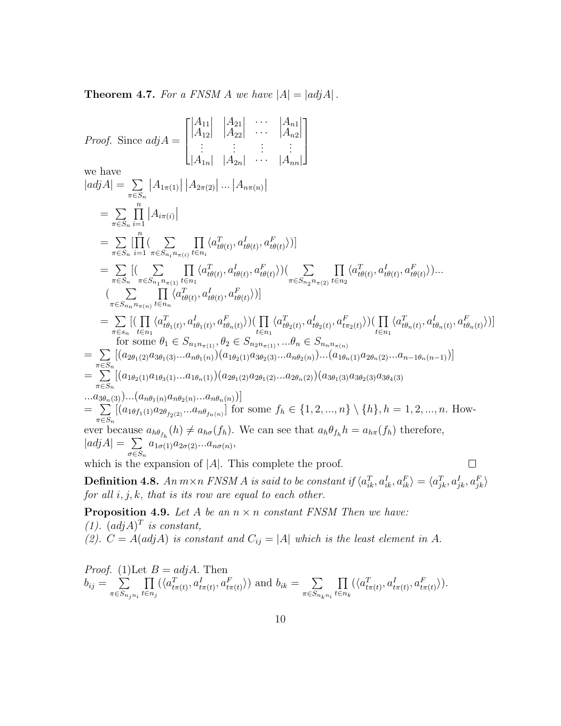**Theorem 4.7.** For a FNSM A we have  $|A| = |adjA|$ .

Proof. Since 
$$
adj A = \begin{bmatrix} |A_{11}| & |A_{22}| & \cdots & |A_{n1}| \\ |A_{12}| & |A_{22}| & \cdots & |A_{n2}| \\ \vdots & \vdots & \vdots & \vdots \\ |A_{1n}| & |A_{2n}| & \cdots & |A_{nn}| \end{bmatrix}
$$
  
\nwe have  
\n
$$
|adj A| = \sum_{\pi \in S_n} |A_{1\pi(1)}| |A_{2\pi(2)}| \dots |A_{n\pi(n)}|
$$
\n
$$
= \sum_{\pi \in S_n} \prod_{i=1}^n |A_{i\pi(i)}|
$$
\n
$$
= \sum_{\pi \in S_n} \prod_{i=1}^n \sum_{\pi \in S_{n_i} n_{\pi(i)}} \prod_{t \in n_i} \langle a_{i\theta(t)}^T, a_{i\theta(t)}^T, a_{i\theta(t)}^T \rangle]
$$
\n
$$
= \sum_{\pi \in S_n} [(\sum_{\pi \in S_{n_1} n_{\pi(1)}} \prod_{t \in n_1} \langle a_{i\theta(t)}^T, a_{i\theta(t)}^T, a_{i\theta(t)}^T \rangle)]
$$
\n
$$
= \sum_{\pi \in S_n} [(\sum_{\pi \in S_{n_1} n_{\pi(1)}} \prod_{t \in n_1} \langle a_{i\theta(t)}^T, a_{i\theta(t)}^T, a_{i\theta(t)}^T \rangle)]
$$
\n
$$
= \sum_{\pi \in S_n} [(\prod_{t \in n_1} \langle a_{i\theta(t)}^T, a_{i\theta(t)}^T, a_{i\theta(t)}^T, a_{i\theta(t)}^T \rangle)]
$$
\nfor some  $\theta_1 \in S_{n_1 n_{\pi(1)}}$ ,  $\theta_2 \in S_{n_2 n_{\pi(1)}}$ , ...,  $\theta_n \in S_{n_n n_{\pi(n)}}$   
\n
$$
= \sum_{\pi \in S_n} [a_{2\theta_1(2)} a_{3\theta_1(3)}...a_{n\theta_1(n)} (a_{1\theta_2(1)} a_{3\theta_2(3)}...a_{n\theta_2(n)})... (a_{1\theta_n(1)} a_{2\theta_n(2)}...a_{n-1\theta_n(n-1)})]
$$
\nfor some  $\theta_1 \in S_{n_1 n_{\pi(1)}}$ 

which is the expansion of  $|A|$ . This complete the proof.

**Definition 4.8.** An  $m \times n$  FNSM A is said to be constant if  $\langle a_{ik}^T, a_{ik}^I, a_{ik}^F \rangle = \langle a_{jk}^T, a_{jk}^I, a_{jk}^F \rangle$ for all  $i, j, k$ , that is its row are equal to each other.

**Proposition 4.9.** Let  $A$  be an  $n \times n$  constant FNSM Then we have:  $(1)$ .  $(\text{adj }A)^T$  is constant, (2).  $C = A(\text{adj }A)$  is constant and  $C_{ij} = |A|$  which is the least element in A.

*Proof.* (1) Let 
$$
B = adjA
$$
. Then  
\n
$$
b_{ij} = \sum_{\pi \in S_{n_j n_i}} \prod_{t \in n_j} (\langle a_{t\pi(t)}^T, a_{t\pi(t)}^I, a_{t\pi(t)}^F \rangle) \text{ and } b_{ik} = \sum_{\pi \in S_{n_k n_i}} \prod_{t \in n_k} (\langle a_{t\pi(t)}^T, a_{t\pi(t)}^I, a_{t\pi(t)}^F \rangle).
$$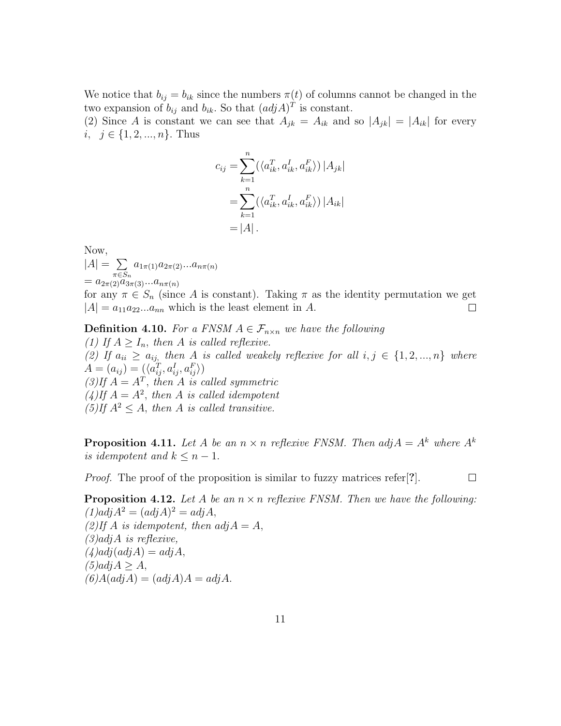We notice that  $b_{ij} = b_{ik}$  since the numbers  $\pi(t)$  of columns cannot be changed in the two expansion of  $b_{ij}$  and  $b_{ik}$ . So that  $(adjA)^T$  is constant.

(2) Since A is constant we can see that  $A_{jk} = A_{ik}$  and so  $|A_{jk}| = |A_{ik}|$  for every *i*,  $j \in \{1, 2, ..., n\}$ . Thus

$$
c_{ij} = \sum_{k=1}^{n} (\langle a_{ik}^T, a_{ik}^I, a_{ik}^F \rangle) |A_{jk}|
$$
  
= 
$$
\sum_{k=1}^{n} (\langle a_{ik}^T, a_{ik}^I, a_{ik}^F \rangle) |A_{ik}|
$$
  
= 
$$
|A|.
$$

Now,  $|A| = \sum$  $\pi \in S_n$  $a_{1\pi(1)}a_{2\pi(2)}...a_{n\pi(n)}$  $= a_{2\pi(2)} a_{3\pi(3)} ... a_{n\pi(n)}$ 

for any  $\pi \in S_n$  (since A is constant). Taking  $\pi$  as the identity permutation we get  $|A|=a_{11}a_{22}...a_{nn}$  which is the least element in A.  $\Box$ 

**Definition 4.10.** For a FNSM  $A \in \mathcal{F}_{n \times n}$  we have the following (1) If  $A \geq I_n$ , then A is called reflexive. (2) If  $a_{ii} \geq a_{ij}$ , then A is called weakely reflexive for all  $i, j \in \{1, 2, ..., n\}$  where  $A = (a_{ij}) = (\langle a_{ij}^T, a_{ij}^I, a_{ij}^F \rangle)$  $(3)$ If  $A = A^T$ , then A is called symmetric  $(4)$ If  $A = A^2$ , then A is called idempotent (5)If  $A^2 \leq A$ , then A is called transitive.

**Proposition 4.11.** Let A be an  $n \times n$  reflexive FNSM. Then  $adj A = A^k$  where  $A^k$ is idempotent and  $k \leq n-1$ .

 $\Box$ 

*Proof.* The proof of the proposition is similar to fuzzy matrices refer[?].

**Proposition 4.12.** Let A be an  $n \times n$  reflexive FNSM. Then we have the following:  $(1)$  $adj A<sup>2</sup> = (adj A)<sup>2</sup> = adj A$ , (2)If A is idempotent, then  $adj A = A$ ,  $(3)$ *adjA* is reflexive,  $(4)$  $adj(adjA) = adjA,$  $(5)$ adj $A > A$ ,  $(6)A(adjA) = (adjA)A = adjA.$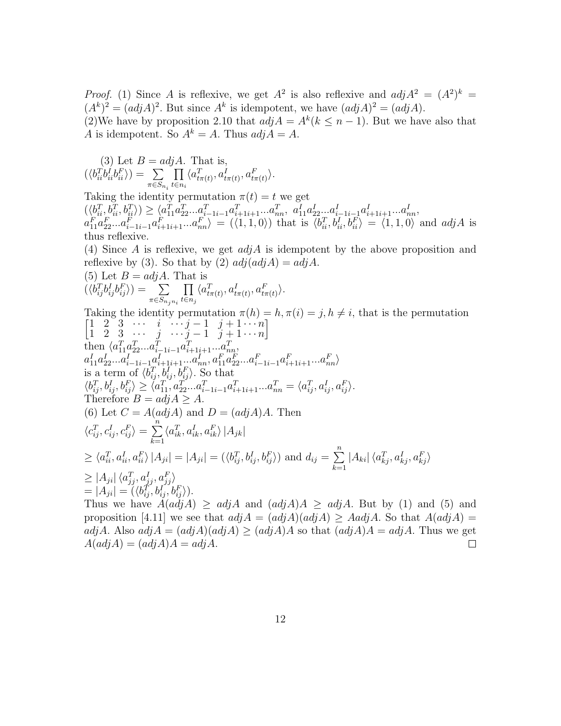*Proof.* (1) Since A is reflexive, we get  $A^2$  is also reflexive and  $adj A^2 = (A^2)^k =$  $(A^k)^2 = (adj A)^2$ . But since  $A^k$  is idempotent, we have  $(adj A)^2 = (adj A)$ . (2)We have by proposition 2.10 that  $adj A = A^k (k \leq n-1)$ . But we have also that A is idempotent. So  $A^k = A$ . Thus  $adj A = A$ .

(3) Let 
$$
B = adjA
$$
. That is,  
\n
$$
(\langle b_{ii}^T b_{ii}^I b_{ii}^F \rangle) = \sum_{\pi \in S_{n_i}} \prod_{t \in n_i} \langle a_{t\pi(t)}^T, a_{t\pi(t)}^I, a_{t\pi(t)}^F \rangle.
$$

Taking the identity permutation  $\pi(t) = t$  we get  $(\langle b_{ii}^T, b_{ii}^T, b_{ii}^T \rangle) \ge \langle a_{11}^T a_{22}^T ... a_{i-1i-1}^T a_{i+1i+1}^T ... a_{nn}^T, a_{11}^T a_{22}^T ... a_{i-1i-1}^T a_{i+1i+1}^T ... a_{nn}^T,$  $a_{11}^F a_{22}^F... a_{i-1i-1}^F a_{i+1i+1}^F... a_{nn}^F = (\langle 1, 1, 0 \rangle)$  that is  $\langle b_{ii}^T, b_{ii}^I, b_{ii}^F \rangle = \langle 1, 1, 0 \rangle$  and  $adjA$  is thus reflexive.

(4) Since A is reflexive, we get  $adjA$  is idempotent by the above proposition and reflexive by (3). So that by (2)  $adj(adjA) = adjA$ .  $\int_{\alpha}^{1} d\theta \, dA$  That is

$$
(\delta) \text{ Let } B = aqA. \text{ That is}
$$
  

$$
(\langle b_{ij}^T b_{ij}^I b_{ij}^F \rangle) = \sum_{\pi \in S_{n_j n_i}} \prod_{t \in n_j} \langle a_{t\pi(t)}^T, a_{t\pi(t)}^I, a_{t\pi(t)}^F \rangle.
$$

Taking the identity permutation  $\pi(h) = h, \pi(i) = j, h \neq i$ , that is the permutation  $\begin{bmatrix} 1 & 2 & 3 & \cdots & i & \cdots & j-1 & j+1 & \cdots & n \end{bmatrix}$ ]

$$
[1 \ 2 \ 3 \ \cdots \ j \ \cdots \ j-1 \ j+1 \cdots n]
$$
  
\nthen  $\langle a_{11}^T a_{22}^T \ldots a_{i-1i-1}^T a_{i+1i+1}^T \ldots a_{nn}^T,$   
\n $a_{11}^T a_{22}^T \ldots a_{i-1i-1}^T a_{i+1i+1}^T \ldots a_{nn}^T, a_{11}^T a_{22}^T \ldots a_{i-1i-1}^T a_{i+1i+1}^T \ldots a_{nn}^T,$   
\nis a term of  $\langle b_{ij}^T, b_{ij}^T, b_{ij}^T, b_{ij}^T \rangle$ . So that  
\n $\langle b_{ij}^T, b_{ij}^T, b_{ij}^T \rangle \ge \langle a_{11}^T, a_{22}^T \ldots a_{i-1i-1}^T a_{i+1i+1}^T \ldots a_{nn}^T = \langle a_{ij}^T, a_{ij}^T, a_{ij}^T \rangle.$   
\nTherefore  $B = adj A \ge A$ .  
\n(6) Let  $C = A(adj A)$  and  $D = (adj A)A$ . Then  
\n $\langle c_{ij}^T, c_{ij}^T, c_{ij}^F \rangle = \sum_{k=1}^n \langle a_{ik}^T, a_{ik}^T, a_{ik}^F \rangle |A_{jk}|$   
\n $\ge \langle a_{ii}^T, a_{ii}^T, a_{ii}^T, a_{ii}^F \rangle |A_{ji}| = |A_{ji}| = (\langle b_{ij}^T, b_{ij}^T, b_{ij}^F \rangle)$  and  $d_{ij} = \sum_{k=1}^n |A_{ki}| \langle a_{kj}^T, a_{kj}^T, a_{kj}^F \rangle$   
\n $\ge |A_{ji}| \langle a_{jj}^T, a_{ij}^T, a_{ij}^F \rangle$   
\n $= |A_{ji}| = (\langle b_{ij}^T, b_{ij}^T, b_{ij}^F \rangle).$   
\nThus we have  $A(adj A) \ge adj A$  and  $(adj A)A \ge adj A$ . But by (1) and (5) and

proposition [4.11] we see that  $adjA = (adjA)(adjA) \geq AadjA$ . So that  $A(adjA) =$  $adjA$ . Also  $adjA = (adjA)(adjA) \geq (adjA)A$  so that  $(adjA)A = adjA$ . Thus we get  $A(adjA) = (adjA)A = adjA.$  $\Box$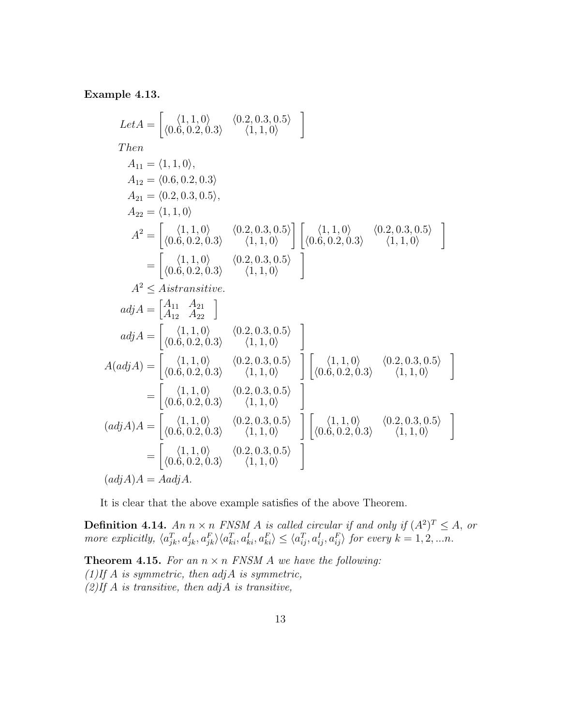#### Example 4.13.

$$
Let A = \begin{bmatrix} \langle 1, 1, 0 \rangle & \langle 0.2, 0.3, 0.5 \rangle \\ \langle 0.6, 0.2, 0.3 \rangle & \langle 1, 1, 0 \rangle \end{bmatrix}
$$
  
\nThen  
\n
$$
A_{11} = \langle 1, 1, 0 \rangle,
$$
  
\n
$$
A_{12} = \langle 0.6, 0.2, 0.3 \rangle
$$
  
\n
$$
A_{21} = \langle 0.2, 0.3, 0.5 \rangle,
$$
  
\n
$$
A_{22} = \langle 1, 1, 0 \rangle
$$
  
\n
$$
A^2 = \begin{bmatrix} \langle 1, 1, 0 \rangle & \langle 0.2, 0.3, 0.5 \rangle \\ \langle 0.6, 0.2, 0.3 \rangle & \langle 1, 1, 0 \rangle \end{bmatrix} \begin{bmatrix} \langle 1, 1, 0 \rangle & \langle 0.2, 0.3, 0.5 \rangle \\ \langle 0.6, 0.2, 0.3 \rangle & \langle 1, 1, 0 \rangle \end{bmatrix}
$$
  
\n
$$
= \begin{bmatrix} \langle 1, 1, 0 \rangle & \langle 0.2, 0.3, 0.5 \rangle \\ \langle 0.6, 0.2, 0.3 \rangle & \langle 1, 1, 0 \rangle \end{bmatrix}
$$
  
\n
$$
A^2 \leq Aistransitive.
$$
  
\n
$$
adj A = \begin{bmatrix} \langle 1, 1, 0 \rangle & \langle 0.2, 0.3, 0.5 \rangle \\ \langle 0.6, 0.2, 0.3 \rangle & \langle 1, 1, 0 \rangle \end{bmatrix}
$$
  
\n
$$
A(adj A) = \begin{bmatrix} \langle 1, 1, 0 \rangle & \langle 0.2, 0.3, 0.5 \rangle \\ \langle 0.6, 0.2, 0.3 \rangle & \langle 1, 1, 0 \rangle \end{bmatrix} \begin{bmatrix} \langle 1, 1, 0 \rangle & \langle 0.2, 0.3, 0.5 \rangle \\ \langle 0.6, 0.2, 0.3 \rangle & \langle 1, 1, 0 \rangle \end{bmatrix}
$$
  
\n
$$
= \begin{
$$

It is clear that the above example satisfies of the above Theorem.

**Definition 4.14.** An  $n \times n$  FNSM A is called circular if and only if  $(A^2)^T \leq A$ , or more explicitly,  $\langle a_{jk}^T, a_{jk}^I, a_{ki}^F \rangle \langle a_{ki}^T, a_{ki}^I, a_{ki}^F \rangle \le \langle a_{ij}^T, a_{ij}^I, a_{ij}^F \rangle$  for every  $k = 1, 2, ...n$ .

**Theorem 4.15.** For an  $n \times n$  FNSM A we have the following:  $(1)$ If A is symmetric, then  $adjA$  is symmetric,  $(2)$ If A is transitive, then  $adjA$  is transitive,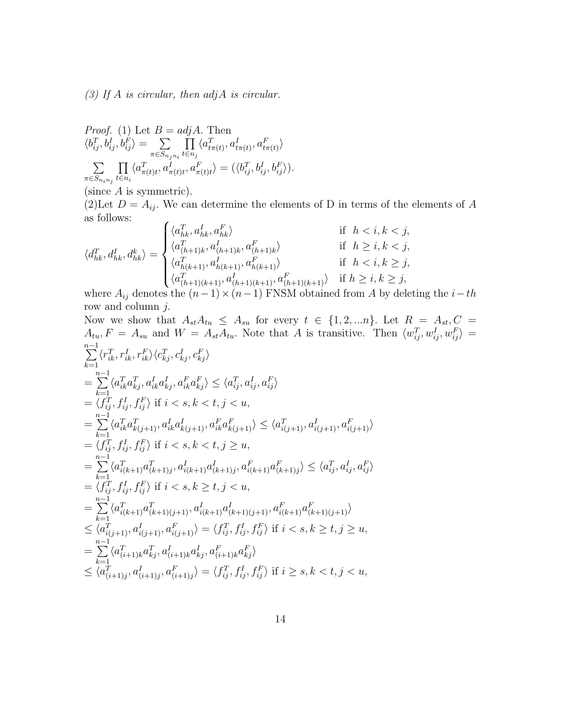(3) If  $A$  is circular, then  $adjA$  is circular.

*Proof.* (1) Let 
$$
B = adjA
$$
. Then  
\n
$$
\langle b_{ij}^T, b_{ij}^I, b_{ij}^F \rangle = \sum_{\pi \in S_{n_j n_i}} \prod_{t \in n_j} \langle a_{t\pi(t)}^T, a_{t\pi(t)}^I, a_{t\pi(t)}^F \rangle
$$
\n
$$
\sum_{\pi \in S_{n_i n_j}} \prod_{t \in n_i} \langle a_{\pi(t)t}^T, a_{\pi(t)t}^I, a_{\pi(t)t}^F \rangle = (\langle b_{ij}^T, b_{ij}^I, b_{ij}^F \rangle).
$$

(since  $A$  is symmetric).

(2)Let  $D = A_{ij}$ . We can determine the elements of D in terms of the elements of A as follows:  $\sim$ 

$$
\langle d_{hk}^T, d_{hk}^I, d_{hk}^k \rangle = \begin{cases} \langle a_{hk}^T, a_{hk}^I, a_{hk}^F \rangle & \text{if } h < i, k < j, \\ \langle a_{(h+1)k}^T, a_{(h+1)k}^I, a_{(h+1)k}^F \rangle & \text{if } h \ge i, k < j, \\ \langle a_{h(k+1)}^T, a_{h(k+1)}^I, a_{h(k+1)}^F \rangle & \text{if } h < i, k \ge j, \\ \langle a_{(h+1)(k+1)}^T, a_{(h+1)(k+1)}^I, a_{(h+1)(k+1)}^F \rangle & \text{if } h \ge i, k \ge j, \end{cases}
$$

where  $A_{ij}$  denotes the  $(n-1) \times (n-1)$  FNSM obtained from A by deleting the  $i-th$ row and column  $j$ .

Now we show that 
$$
A_{st}A_{tu} \leq A_{su}
$$
 for every  $t \in \{1, 2, ...n\}$ . Let  $R = A_{st}, C = A_{tu}, F = A_{su}$  and  $W = A_{st}A_{tu}$ . Note that A is transitive. Then  $\langle w_{ij}^T, w_{ij}^I, w_{ij}^F \rangle = \sum_{k=1}^{n-1} \langle r_{ik}^T, r_{ik}^I, r_{ik}^F \rangle \langle c_{kj}^T, c_{kj}^I, c_{kj}^F \rangle$   
\n $= \sum_{k=1}^{n-1} \langle a_{ik}^T a_{kj}^T, a_{ik}^I a_{kj}^I, a_{ik}^I a_{kj}^F \rangle \leq \langle a_{ij}^T, a_{ij}^I, a_{ij}^F \rangle$   
\n $= \langle f_{ij}^T, f_{ij}^I, f_{ij}^F \rangle$  if  $i < s, k < t, j < u$ ,  
\n $= \sum_{k=1}^{n-1} \langle a_{ik}^T a_{k(j+1)}^T, a_{ik}^I a_{k(j+1)}^I, a_{ik}^F a_{k(j+1)}^F \rangle \leq \langle a_{i(j+1)}^T, a_{i(j+1)}^I, a_{i(j+1)}^F \rangle$   
\n $= \langle f_{ij}^T, f_{ij}^I, f_{ij}^F \rangle$  if  $i < s, k < t, j \ge u$ ,  
\n $= \sum_{k=1}^{n-1} \langle a_{i(k+1)}^T a_{k(k+1)j}^T, a_{i(k+1)}^I a_{(k+1)j}^I, a_{i(k+1)}^F a_{(k+1)j}^F \rangle \leq \langle a_{ij}^T, a_{ij}^I, a_{ij}^F \rangle$   
\n $= \langle f_{ij}^T, f_{ij}^I, f_{ij}^F \rangle$  if  $i < s, k \ge t, j < u$ ,  
\n $= \sum_{k=1}^{n-1} \langle a_{i(k+1)}^T a_{k(k+1)(j+1)}^T, a_{i(k+1)}^I a_{(k+1)(j+1)}^I, a_{i(k+1)}^F a_{(k+1)(j+1)}^F \rangle$   
\n $\leq \langle a_{i(j+1)}^T, a_{i(j+$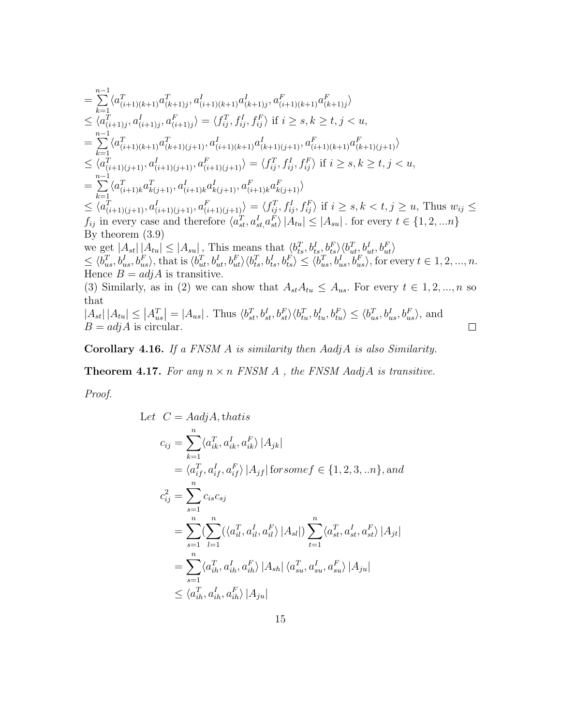$$
\begin{split}\n&= \sum_{k=1}^{n-1} \langle a_{(i+1)(k+1)}^T a_{(k+1)j}^T, a_{(i+1)(k+1)}^I a_{(k+1)j}^I, a_{(i+1)(k+1)}^F a_{(k+1)j}^F \rangle \\
&\leq \langle a_{(i+1)j}^T, a_{(i+1)j}^I, a_{(i+1)j}^F \rangle = \langle f_{ij}^T, f_{ij}^I, f_{ij}^F \rangle \text{ if } i \geq s, k \geq t, j < u, \\
&= \sum_{k=1}^{n-1} \langle a_{(i+1)(k+1)}^T a_{(k+1)(j+1)}^T, a_{(i+1)(k+1)}^I a_{(k+1)(j+1)}^I, a_{(i+1)(k+1)}^F a_{(k+1)(j+1)}^F \rangle \\
&\leq \langle a_{(i+1)(j+1)}^T, a_{(i+1)(j+1)}^I, a_{(i+1)(j+1)}^F \rangle = \langle f_{ij}^T, f_{ij}^I, f_{ij}^F \rangle \text{ if } i \geq s, k \geq t, j < u, \\
&= \sum_{k=1}^{n-1} \langle a_{(i+1)(k+1)}^T a_{k(j+1)}^I, a_{(i+1)k}^I a_{k(j+1)}^I, a_{(i+1)k}^F a_{k(j+1)}^F \rangle \\
&\leq \langle a_{(i+1)(j+1)}^T, a_{(i+1)(j+1)}^I, a_{(i+1)(j+1)}^F \rangle = \langle f_{ij}^T, f_{ij}^I, f_{ij}^F, f_{ij}^F \rangle \text{ if } i \geq s, k < t, j \geq u, \text{ Thus } w_{ij} \leq t, j \text{ in every case and therefore } \langle a_{st}^T, a_{st}^I, a_{st}^F \rangle |A_{tu}| \leq |A_{su}|. \text{ for every } t \in \{1, 2, \ldots n\} \\
\text{By theorem (3.9)} \\
&= \int_{j}^{j} \int_{u}^{u} a_{st}^F a_{st}^F \rangle \langle a_{st}^T, a_{st}^I, a_{st}^F \rangle \langle a_{st}^T, b_{st}^I, b_{st}^F, b_{st}^F
$$

Corollary 4.16. If a FNSM  $A$  is similarity then  $A$ adj $A$  is also Similarity.

Theorem 4.17. For any  $n \times n$  FNSM  $A$ , the FNSM AadjA is transitive.

Proof.

Let 
$$
C = AadjA, that is
$$
  
\n
$$
c_{ij} = \sum_{k=1}^{n} \langle a_{ik}^{T}, a_{ik}^{I}, a_{ik}^{F} \rangle |A_{jk}|
$$
  
\n
$$
= \langle a_{if}^{T}, a_{if}^{I}, a_{if}^{F} \rangle |A_{jf}| \text{ for some } f \in \{1, 2, 3, ...n\}, \text{ and}
$$
  
\n
$$
c_{ij}^{2} = \sum_{s=1}^{n} c_{is} c_{sj}
$$
  
\n
$$
= \sum_{s=1}^{n} \left( \sum_{l=1}^{n} (\langle a_{il}^{T}, a_{il}^{I}, a_{il}^{F} \rangle |A_{sl}|) \sum_{t=1}^{n} \langle a_{st}^{T}, a_{st}^{I}, a_{st}^{F} \rangle |A_{jt}| \right)
$$
  
\n
$$
= \sum_{s=1}^{n} \langle a_{ih}^{T}, a_{ih}^{I}, a_{ih}^{F} \rangle |A_{sh}| \langle a_{su}^{T}, a_{su}^{I}, a_{su}^{F} \rangle |A_{ju}|
$$
  
\n
$$
\leq \langle a_{ih}^{T}, a_{ih}^{I}, a_{ih}^{F} \rangle |A_{ju}|
$$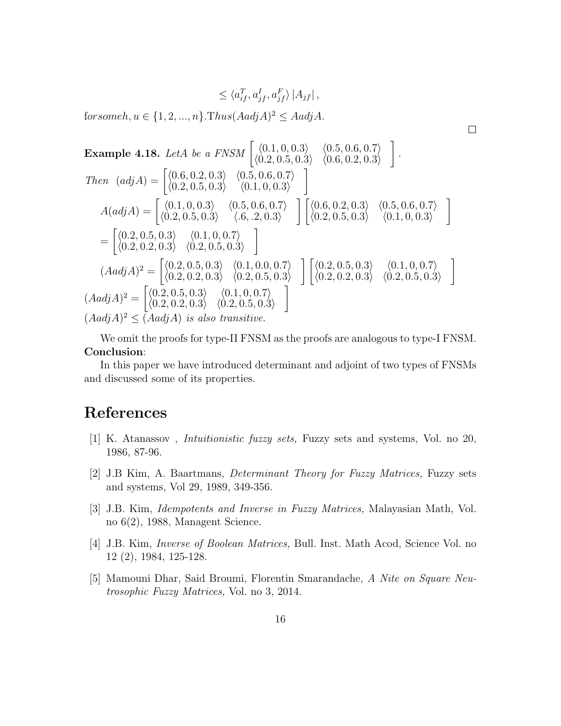$$
\leq \langle a_{if}^T, a_{jf}^I, a_{jf}^F \rangle |A_{jf}|,
$$

 $\Box$ 

for someh,  $u \in \{1, 2, ..., n\}$ .Thus $(Aadj A)^2 \leq Aadj A$ .

Example 4.18. LetA be a FNSM 
$$
\begin{bmatrix} \langle 0.1, 0, 0.3 \rangle & \langle 0.5, 0.6, 0.7 \rangle \\ \langle 0.2, 0.5, 0.3 \rangle & \langle 0.6, 0.2, 0.3 \rangle \end{bmatrix}
$$
  
\nThen  $(adj A) = \begin{bmatrix} \langle 0.6, 0.2, 0.3 \rangle & \langle 0.5, 0.6, 0.7 \rangle \\ \langle 0.2, 0.5, 0.3 \rangle & \langle 0.1, 0, 0.3 \rangle \end{bmatrix}$   
\n
$$
A(adj A) = \begin{bmatrix} \langle 0.1, 0, 0.3 \rangle & \langle 0.5, 0.6, 0.7 \rangle \\ \langle 0.2, 0.5, 0.3 \rangle & \langle 6, 2, 0.3 \rangle \end{bmatrix} \begin{bmatrix} \langle 0.6, 0.2, 0.3 \rangle & \langle 0.5, 0.6, 0.7 \rangle \\ \langle 0.2, 0.5, 0.3 \rangle & \langle 0.2, 0.3 \rangle \end{bmatrix} = \begin{bmatrix} \langle 0.2, 0.5, 0.3 \rangle & \langle 0.1, 0, 0.7 \rangle \\ \langle 0.2, 0.2, 0.3 \rangle & \langle 0.2, 0.5, 0.3 \rangle \end{bmatrix}
$$
  
\n
$$
(Aadj A)^{2} = \begin{bmatrix} \langle 0.2, 0.5, 0.3 \rangle & \langle 0.1, 0.0, 0.7 \rangle \\ \langle 0.2, 0.2, 0.3 \rangle & \langle 0.2, 0.5, 0.3 \rangle \end{bmatrix} \begin{bmatrix} \langle 0.2, 0.5, 0.3 \rangle & \langle 0.1, 0, 0.7 \rangle \\ \langle 0.2, 0.2, 0.3 \rangle & \langle 0.2, 0.5, 0.3 \rangle \end{bmatrix}
$$
  
\n
$$
(Aadj A)^{2} = \begin{bmatrix} \langle 0.2, 0.5, 0.3 \rangle & \langle 0.1, 0, 0.7 \rangle \\ \langle 0.2, 0.2, 0.3 \rangle & \langle 0.2, 0.5, 0.3 \rangle \end{bmatrix}
$$
<

We omit the proofs for type-II FNSM as the proofs are analogous to type-I FNSM. Conclusion:

In this paper we have introduced determinant and adjoint of two types of FNSMs and discussed some of its properties.

## References

- [1] K. Atanassov , Intuitionistic fuzzy sets, Fuzzy sets and systems, Vol. no 20, 1986, 87-96.
- [2] J.B Kim, A. Baartmans, Determinant Theory for Fuzzy Matrices, Fuzzy sets and systems, Vol 29, 1989, 349-356.
- [3] J.B. Kim, Idempotents and Inverse in Fuzzy Matrices, Malayasian Math, Vol. no 6(2), 1988, Managent Science.
- [4] J.B. Kim, Inverse of Boolean Matrices, Bull. Inst. Math Acod, Science Vol. no 12 (2), 1984, 125-128.
- [5] Mamouni Dhar, Said Broumi, Florentin Smarandache, A Nite on Square Neutrosophic Fuzzy Matrices, Vol. no 3, 2014.